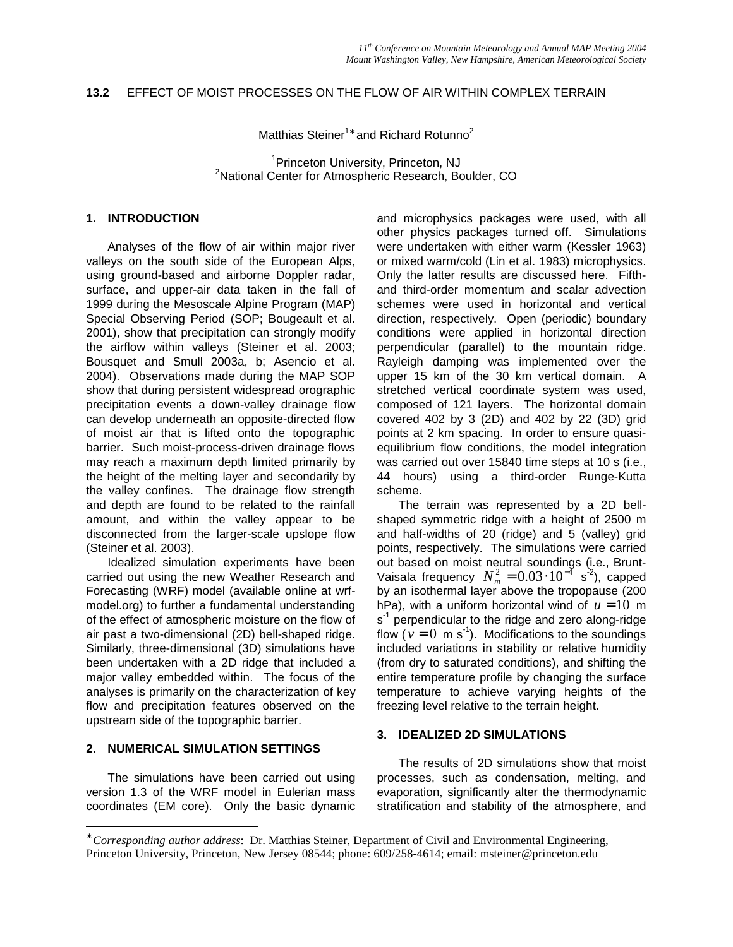# **13.2** EFFECT OF MOIST PROCESSES ON THE FLOW OF AIR WITHIN COMPLEX TERRAIN

Matthias Steiner<sup>1</sup>\* and Richard Rotunno<sup>2</sup>

<sup>1</sup> Princeton University, Princeton, NJ<br><sup>2</sup>National Center for Atmospheric Bessersh, Ba <sup>2</sup>National Center for Atmospheric Research, Boulder, CO

### **1. INTRODUCTION**

Analyses of the flow of air within major river valleys on the south side of the European Alps, using ground-based and airborne Doppler radar, surface, and upper-air data taken in the fall of 1999 during the Mesoscale Alpine Program (MAP) Special Observing Period (SOP; Bougeault et al. 2001), show that precipitation can strongly modify the airflow within valleys (Steiner et al. 2003; Bousquet and Smull 2003a, b; Asencio et al. 2004). Observations made during the MAP SOP show that during persistent widespread orographic precipitation events a down-valley drainage flow can develop underneath an opposite-directed flow of moist air that is lifted onto the topographic barrier. Such moist-process-driven drainage flows may reach a maximum depth limited primarily by the height of the melting layer and secondarily by the valley confines. The drainage flow strength and depth are found to be related to the rainfall amount, and within the valley appear to be disconnected from the larger-scale upslope flow (Steiner et al. 2003).

Idealized simulation experiments have been carried out using the new Weather Research and Forecasting (WRF) model (available online at wrfmodel.org) to further a fundamental understanding of the effect of atmospheric moisture on the flow of air past a two-dimensional (2D) bell-shaped ridge. Similarly, three-dimensional (3D) simulations have been undertaken with a 2D ridge that included a major valley embedded within. The focus of the analyses is primarily on the characterization of key flow and precipitation features observed on the upstream side of the topographic barrier.

# **2. NUMERICAL SIMULATION SETTINGS**

-

The simulations have been carried out using version 1.3 of the WRF model in Eulerian mass coordinates (EM core). Only the basic dynamic and microphysics packages were used, with all other physics packages turned off. Simulations were undertaken with either warm (Kessler 1963) or mixed warm/cold (Lin et al. 1983) microphysics. Only the latter results are discussed here. Fifthand third-order momentum and scalar advection schemes were used in horizontal and vertical direction, respectively. Open (periodic) boundary conditions were applied in horizontal direction perpendicular (parallel) to the mountain ridge. Rayleigh damping was implemented over the upper 15 km of the 30 km vertical domain. A stretched vertical coordinate system was used, composed of 121 layers. The horizontal domain covered 402 by 3 (2D) and 402 by 22 (3D) grid points at 2 km spacing. In order to ensure quasiequilibrium flow conditions, the model integration was carried out over 15840 time steps at 10 s (i.e., 44 hours) using a third-order Runge-Kutta scheme.

The terrain was represented by a 2D bellshaped symmetric ridge with a height of 2500 m and half-widths of 20 (ridge) and 5 (valley) grid points, respectively. The simulations were carried out based on moist neutral soundings (i.e., Brunt-Vaisala frequency  $N_m^2 = 0.03 \cdot 10^{-4} \text{ s}^2$ , capped by an isothermal layer above the tropopause (200 hPa), with a uniform horizontal wind of  $u = 10$  m s<sup>-1</sup> perpendicular to the ridge and zero along-ridge flow ( $v = 0$  m s<sup>-1</sup>). Modifications to the soundings included variations in stability or relative humidity (from dry to saturated conditions), and shifting the entire temperature profile by changing the surface temperature to achieve varying heights of the freezing level relative to the terrain height.

#### **3. IDEALIZED 2D SIMULATIONS**

The results of 2D simulations show that moist processes, such as condensation, melting, and evaporation, significantly alter the thermodynamic stratification and stability of the atmosphere, and

<sup>∗</sup> *Corresponding author address*: Dr. Matthias Steiner, Department of Civil and Environmental Engineering, Princeton University, Princeton, New Jersey 08544; phone: 609/258-4614; email: msteiner@princeton.edu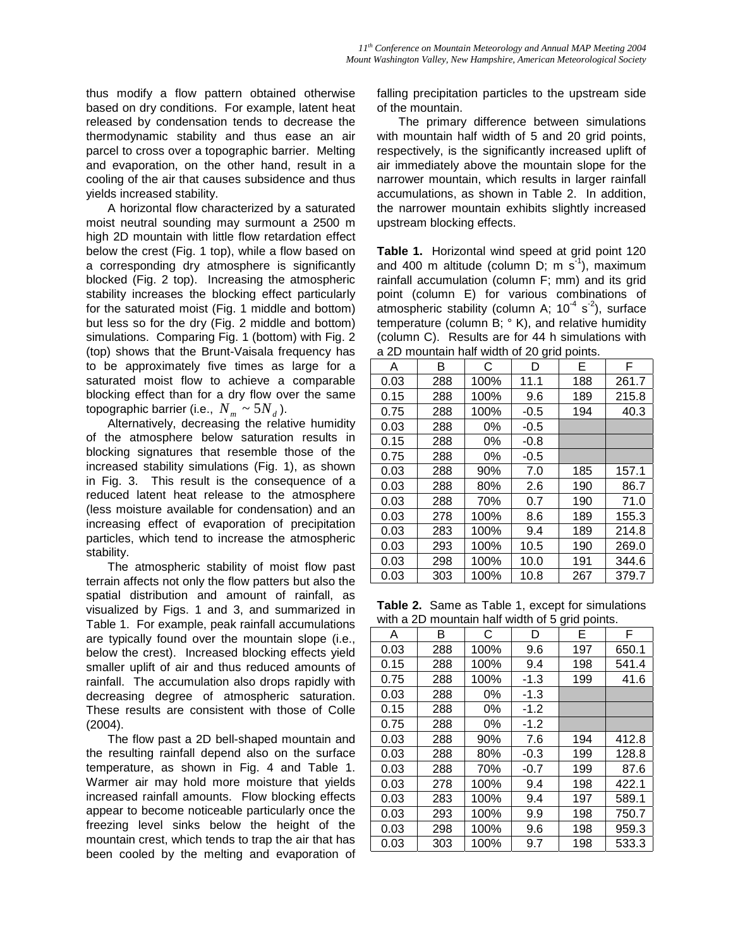thus modify a flow pattern obtained otherwise based on dry conditions. For example, latent heat released by condensation tends to decrease the thermodynamic stability and thus ease an air parcel to cross over a topographic barrier. Melting and evaporation, on the other hand, result in a cooling of the air that causes subsidence and thus yields increased stability.

A horizontal flow characterized by a saturated moist neutral sounding may surmount a 2500 m high 2D mountain with little flow retardation effect below the crest (Fig. 1 top), while a flow based on a corresponding dry atmosphere is significantly blocked (Fig. 2 top). Increasing the atmospheric stability increases the blocking effect particularly for the saturated moist (Fig. 1 middle and bottom) but less so for the dry (Fig. 2 middle and bottom) simulations. Comparing Fig. 1 (bottom) with Fig. 2 (top) shows that the Brunt-Vaisala frequency has to be approximately five times as large for a saturated moist flow to achieve a comparable blocking effect than for a dry flow over the same topographic barrier (i.e.,  $N_m \sim 5N_d$ ).

Alternatively, decreasing the relative humidity of the atmosphere below saturation results in blocking signatures that resemble those of the increased stability simulations (Fig. 1), as shown in Fig. 3. This result is the consequence of a reduced latent heat release to the atmosphere (less moisture available for condensation) and an increasing effect of evaporation of precipitation particles, which tend to increase the atmospheric stability.

The atmospheric stability of moist flow past terrain affects not only the flow patters but also the spatial distribution and amount of rainfall, as visualized by Figs. 1 and 3, and summarized in Table 1. For example, peak rainfall accumulations are typically found over the mountain slope (i.e., below the crest). Increased blocking effects yield smaller uplift of air and thus reduced amounts of rainfall. The accumulation also drops rapidly with decreasing degree of atmospheric saturation. These results are consistent with those of Colle (2004).

The flow past a 2D bell-shaped mountain and the resulting rainfall depend also on the surface temperature, as shown in Fig. 4 and Table 1. Warmer air may hold more moisture that yields increased rainfall amounts. Flow blocking effects appear to become noticeable particularly once the freezing level sinks below the height of the mountain crest, which tends to trap the air that has been cooled by the melting and evaporation of falling precipitation particles to the upstream side of the mountain.

The primary difference between simulations with mountain half width of 5 and 20 grid points, respectively, is the significantly increased uplift of air immediately above the mountain slope for the narrower mountain, which results in larger rainfall accumulations, as shown in Table 2. In addition, the narrower mountain exhibits slightly increased upstream blocking effects.

**Table 1.** Horizontal wind speed at grid point 120 and 400 m altitude (column D; m  $s^{-1}$ ), maximum rainfall accumulation (column F; mm) and its grid point (column E) for various combinations of atmospheric stability (column A;  $10^{-4}$  s<sup>-2</sup>), surface temperature (column B; ° K), and relative humidity (column C). Results are for 44 h simulations with a 2D mountain half width of 20 grid points.

| Α    | в   | С    | ັ<br>D | Е   | F     |
|------|-----|------|--------|-----|-------|
| 0.03 | 288 | 100% | 11.1   | 188 | 261.7 |
| 0.15 | 288 | 100% | 9.6    | 189 | 215.8 |
| 0.75 | 288 | 100% | $-0.5$ | 194 | 40.3  |
| 0.03 | 288 | 0%   | $-0.5$ |     |       |
| 0.15 | 288 | 0%   | $-0.8$ |     |       |
| 0.75 | 288 | 0%   | $-0.5$ |     |       |
| 0.03 | 288 | 90%  | 7.0    | 185 | 157.1 |
| 0.03 | 288 | 80%  | 2.6    | 190 | 86.7  |
| 0.03 | 288 | 70%  | 0.7    | 190 | 71.0  |
| 0.03 | 278 | 100% | 8.6    | 189 | 155.3 |
| 0.03 | 283 | 100% | 9.4    | 189 | 214.8 |
| 0.03 | 293 | 100% | 10.5   | 190 | 269.0 |
| 0.03 | 298 | 100% | 10.0   | 191 | 344.6 |
| 0.03 | 303 | 100% | 10.8   | 267 | 379.7 |

**Table 2.** Same as Table 1, except for simulations with a 2D mountain half width of 5 grid points.

| main or o gird pointer |     |      |        |     |       |  |  |  |
|------------------------|-----|------|--------|-----|-------|--|--|--|
| А                      | В   | С    | D      | Е   | F     |  |  |  |
| 0.03                   | 288 | 100% | 9.6    | 197 | 650.1 |  |  |  |
| 0.15                   | 288 | 100% | 9.4    | 198 | 541.4 |  |  |  |
| 0.75                   | 288 | 100% | $-1.3$ | 199 | 41.6  |  |  |  |
| 0.03                   | 288 | 0%   | $-1.3$ |     |       |  |  |  |
| 0.15                   | 288 | 0%   | $-1.2$ |     |       |  |  |  |
| 0.75                   | 288 | 0%   | $-1.2$ |     |       |  |  |  |
| 0.03                   | 288 | 90%  | 7.6    | 194 | 412.8 |  |  |  |
| 0.03                   | 288 | 80%  | $-0.3$ | 199 | 128.8 |  |  |  |
| 0.03                   | 288 | 70%  | $-0.7$ | 199 | 87.6  |  |  |  |
| 0.03                   | 278 | 100% | 9.4    | 198 | 422.1 |  |  |  |
| 0.03                   | 283 | 100% | 9.4    | 197 | 589.1 |  |  |  |
| 0.03                   | 293 | 100% | 9.9    | 198 | 750.7 |  |  |  |
| 0.03                   | 298 | 100% | 9.6    | 198 | 959.3 |  |  |  |
| 0.03                   | 303 | 100% | 9.7    | 198 | 533.3 |  |  |  |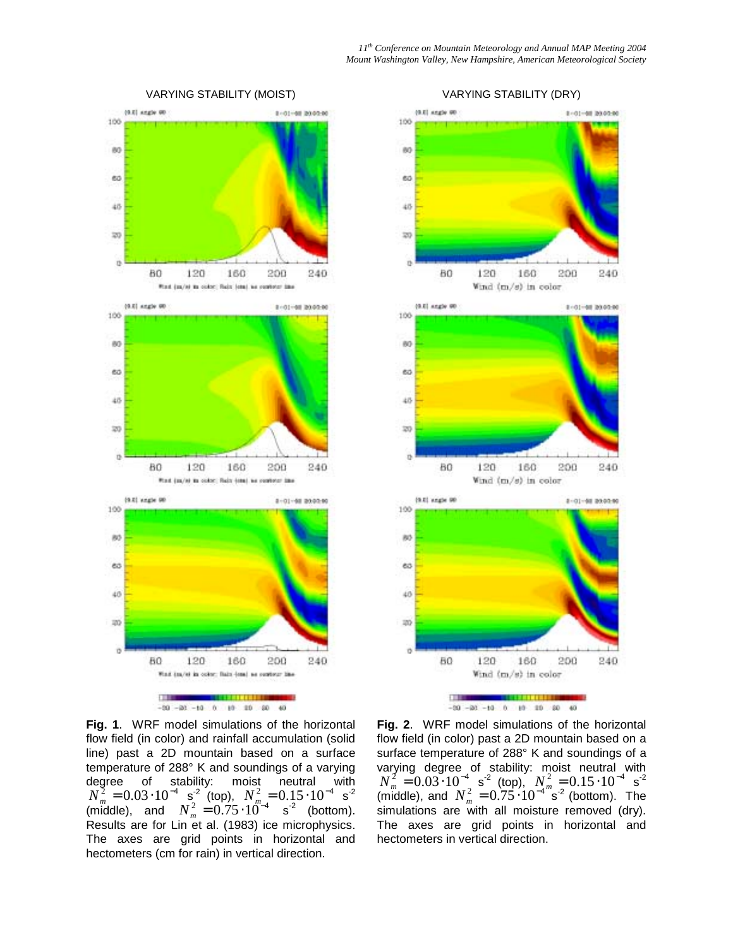

### VARYING STABILITY (MOIST)





**Fig. 1**. WRF model simulations of the horizontal flow field (in color) and rainfall accumulation (solid line) past a 2D mountain based on a surface temperature of 288° K and soundings of a varying degree of stability: moist neutral with  $N_m^2 = 0.03 \cdot 10^{-4}$  s<sup>-2</sup> (top),  $N_m^2 = 0.15 \cdot 10^{-4}$  s<sup>-2</sup> (middle), and  $N_m^2 = 0.75 \cdot 10^{m-4}$  s<sup>-2</sup> (bottom). Results are for Lin et al. (1983) ice microphysics. The axes are grid points in horizontal and hectometers (cm for rain) in vertical direction.

**Fig. 2**. WRF model simulations of the horizontal flow field (in color) past a 2D mountain based on a surface temperature of 288° K and soundings of a varying degree of stability: moist neutral with  $N_m^2 = 0.03 \cdot 10^{-4}$  s<sup>-2</sup> (top),  $N_m^2 = 0.15 \cdot 10^{-4}$  s<sup>-2</sup> (middle), and  $N_m^2 = 0.75 \cdot 10^{-4}$  <sup>m</sup><sub>s</sub><sup>-2</sup> (bottom). The simulations are with all moisture removed (dry). The axes are grid points in horizontal and hectometers in vertical direction.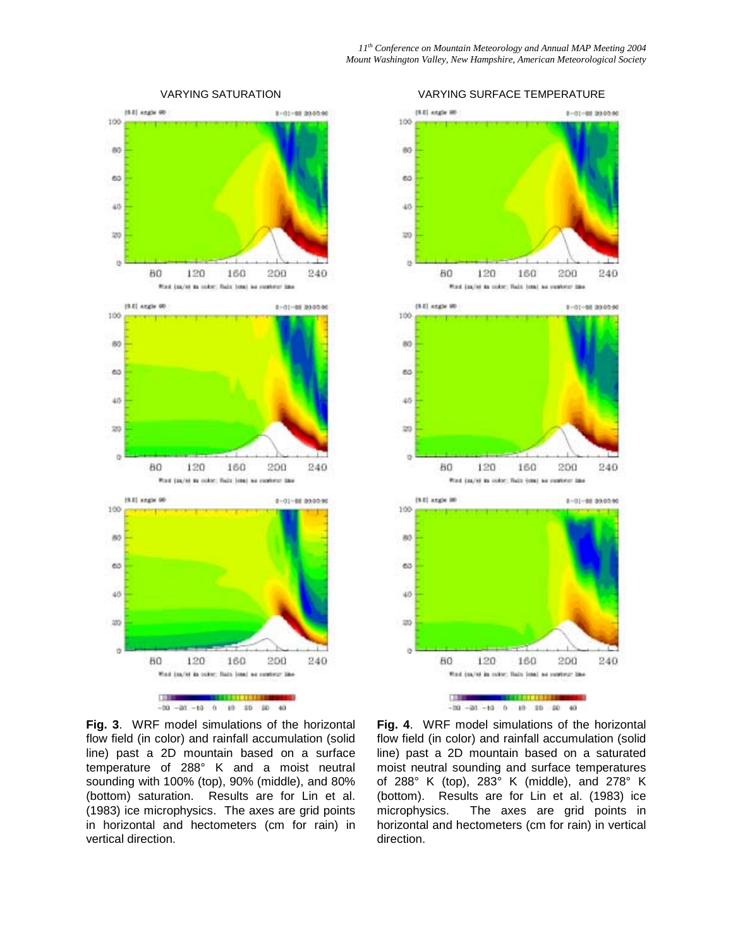

#### VARYING SATURATION



 $-20 - 20 - 10$  0 10 10 20

**Fig. 3**. WRF model simulations of the horizontal flow field (in color) and rainfall accumulation (solid line) past a 2D mountain based on a surface temperature of 288° K and a moist neutral sounding with 100% (top), 90% (middle), and 80% (bottom) saturation. Results are for Lin et al. (1983) ice microphysics. The axes are grid points in horizontal and hectometers (cm for rain) in vertical direction.

**Fig. 4**. WRF model simulations of the horizontal flow field (in color) and rainfall accumulation (solid line) past a 2D mountain based on a saturated moist neutral sounding and surface temperatures of 288° K (top), 283° K (middle), and 278° K (bottom). Results are for Lin et al. (1983) ice microphysics. The axes are grid points in horizontal and hectometers (cm for rain) in vertical direction.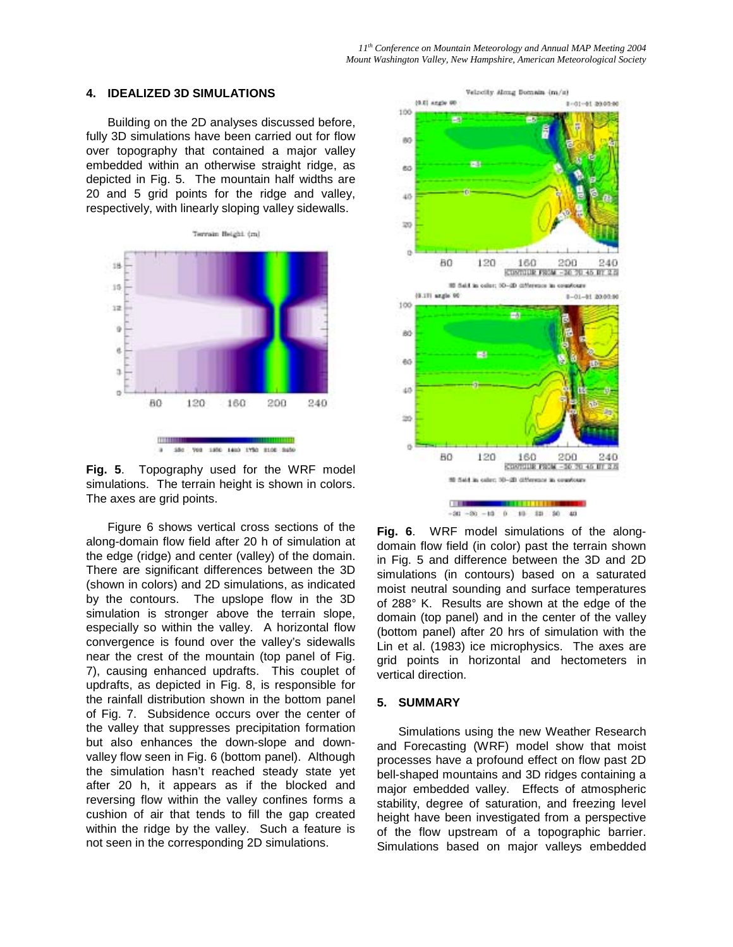### **4. IDEALIZED 3D SIMULATIONS**

Building on the 2D analyses discussed before, fully 3D simulations have been carried out for flow over topography that contained a major valley embedded within an otherwise straight ridge, as depicted in Fig. 5. The mountain half widths are 20 and 5 grid points for the ridge and valley, respectively, with linearly sloping valley sidewalls.





Figure 6 shows vertical cross sections of the along-domain flow field after 20 h of simulation at the edge (ridge) and center (valley) of the domain. There are significant differences between the 3D (shown in colors) and 2D simulations, as indicated by the contours. The upslope flow in the 3D simulation is stronger above the terrain slope, especially so within the valley. A horizontal flow convergence is found over the valley's sidewalls near the crest of the mountain (top panel of Fig. 7), causing enhanced updrafts. This couplet of updrafts, as depicted in Fig. 8, is responsible for the rainfall distribution shown in the bottom panel of Fig. 7. Subsidence occurs over the center of the valley that suppresses precipitation formation but also enhances the down-slope and downvalley flow seen in Fig. 6 (bottom panel). Although the simulation hasn't reached steady state yet after 20 h, it appears as if the blocked and reversing flow within the valley confines forms a cushion of air that tends to fill the gap created within the ridge by the valley. Such a feature is not seen in the corresponding 2D simulations.



**Fig. 6**. WRF model simulations of the alongdomain flow field (in color) past the terrain shown in Fig. 5 and difference between the 3D and 2D simulations (in contours) based on a saturated moist neutral sounding and surface temperatures of 288° K. Results are shown at the edge of the domain (top panel) and in the center of the valley (bottom panel) after 20 hrs of simulation with the Lin et al. (1983) ice microphysics. The axes are grid points in horizontal and hectometers in vertical direction.

### **5. SUMMARY**

Simulations using the new Weather Research and Forecasting (WRF) model show that moist processes have a profound effect on flow past 2D bell-shaped mountains and 3D ridges containing a major embedded valley. Effects of atmospheric stability, degree of saturation, and freezing level height have been investigated from a perspective of the flow upstream of a topographic barrier. Simulations based on major valleys embedded